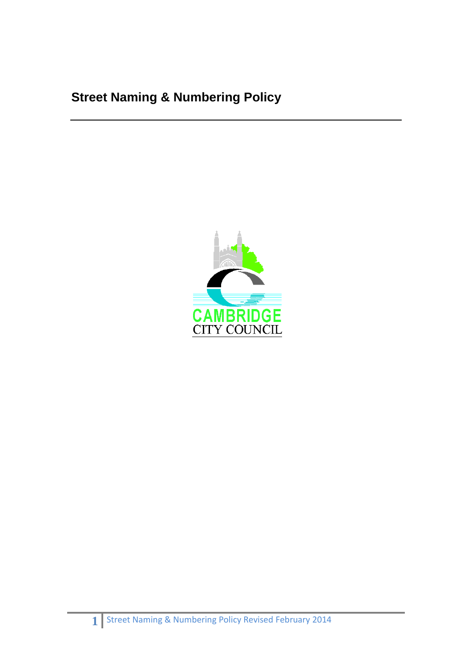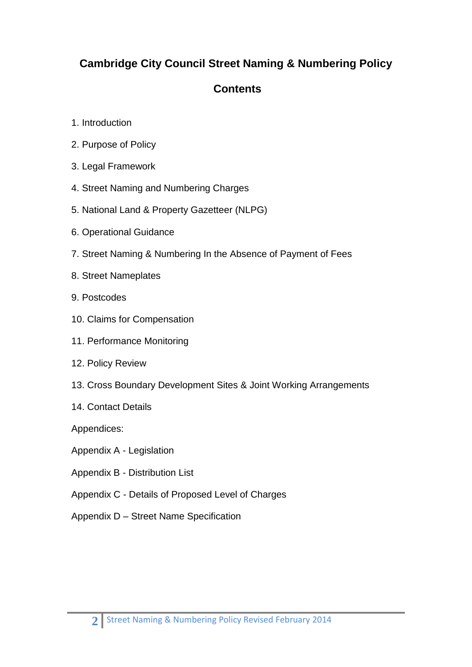# **Cambridge City Council Street Naming & Numbering Policy**

# **Contents**

- 1. Introduction
- 2. Purpose of Policy
- 3. Legal Framework
- 4. Street Naming and Numbering Charges
- 5. National Land & Property Gazetteer (NLPG)
- 6. Operational Guidance
- 7. Street Naming & Numbering In the Absence of Payment of Fees
- 8. Street Nameplates
- 9. Postcodes
- 10. Claims for Compensation
- 11. Performance Monitoring
- 12. Policy Review
- 13. Cross Boundary Development Sites & Joint Working Arrangements
- 14. Contact Details

Appendices:

Appendix A - Legislation

- Appendix B Distribution List
- Appendix C Details of Proposed Level of Charges
- Appendix D Street Name Specification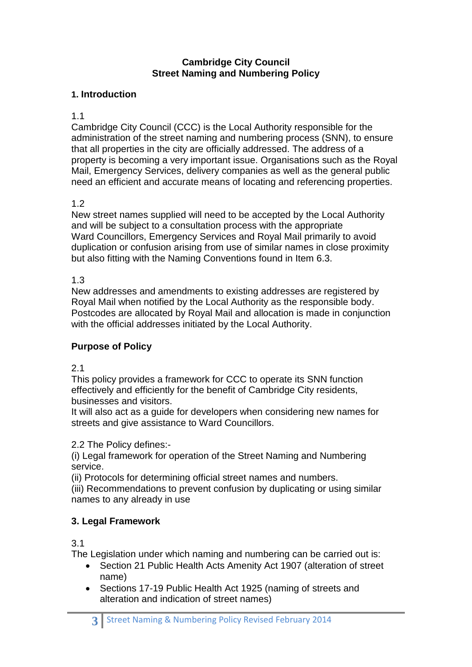#### **Cambridge City Council Street Naming and Numbering Policy**

#### **1. Introduction**

#### 1.1

Cambridge City Council (CCC) is the Local Authority responsible for the administration of the street naming and numbering process (SNN), to ensure that all properties in the city are officially addressed. The address of a property is becoming a very important issue. Organisations such as the Royal Mail, Emergency Services, delivery companies as well as the general public need an efficient and accurate means of locating and referencing properties.

## 1.2

New street names supplied will need to be accepted by the Local Authority and will be subject to a consultation process with the appropriate Ward Councillors, Emergency Services and Royal Mail primarily to avoid duplication or confusion arising from use of similar names in close proximity but also fitting with the Naming Conventions found in Item 6.3.

## 1.3

New addresses and amendments to existing addresses are registered by Royal Mail when notified by the Local Authority as the responsible body. Postcodes are allocated by Royal Mail and allocation is made in conjunction with the official addresses initiated by the Local Authority.

## **Purpose of Policy**

## 2.1

This policy provides a framework for CCC to operate its SNN function effectively and efficiently for the benefit of Cambridge City residents, businesses and visitors.

It will also act as a guide for developers when considering new names for streets and give assistance to Ward Councillors.

## 2.2 The Policy defines:-

(i) Legal framework for operation of the Street Naming and Numbering service.

(ii) Protocols for determining official street names and numbers.

(iii) Recommendations to prevent confusion by duplicating or using similar names to any already in use

# **3. Legal Framework**

3.1

The Legislation under which naming and numbering can be carried out is:

- Section 21 Public Health Acts Amenity Act 1907 (alteration of street name)
- Sections 17-19 Public Health Act 1925 (naming of streets and alteration and indication of street names)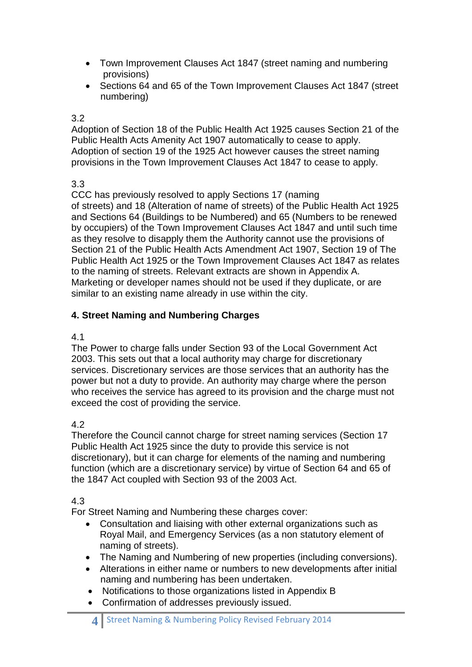- Town Improvement Clauses Act 1847 (street naming and numbering provisions)
- Sections 64 and 65 of the Town Improvement Clauses Act 1847 (street numbering)

#### 3.2

Adoption of Section 18 of the Public Health Act 1925 causes Section 21 of the Public Health Acts Amenity Act 1907 automatically to cease to apply. Adoption of section 19 of the 1925 Act however causes the street naming provisions in the Town Improvement Clauses Act 1847 to cease to apply.

## 3.3

CCC has previously resolved to apply Sections 17 (naming of streets) and 18 (Alteration of name of streets) of the Public Health Act 1925 and Sections 64 (Buildings to be Numbered) and 65 (Numbers to be renewed by occupiers) of the Town Improvement Clauses Act 1847 and until such time as they resolve to disapply them the Authority cannot use the provisions of Section 21 of the Public Health Acts Amendment Act 1907, Section 19 of The Public Health Act 1925 or the Town Improvement Clauses Act 1847 as relates to the naming of streets. Relevant extracts are shown in Appendix A. Marketing or developer names should not be used if they duplicate, or are similar to an existing name already in use within the city.

## **4. Street Naming and Numbering Charges**

#### 4.1

The Power to charge falls under Section 93 of the Local Government Act 2003. This sets out that a local authority may charge for discretionary services. Discretionary services are those services that an authority has the power but not a duty to provide. An authority may charge where the person who receives the service has agreed to its provision and the charge must not exceed the cost of providing the service.

## 4.2

Therefore the Council cannot charge for street naming services (Section 17 Public Health Act 1925 since the duty to provide this service is not discretionary), but it can charge for elements of the naming and numbering function (which are a discretionary service) by virtue of Section 64 and 65 of the 1847 Act coupled with Section 93 of the 2003 Act.

## 4.3

For Street Naming and Numbering these charges cover:

- Consultation and liaising with other external organizations such as Royal Mail, and Emergency Services (as a non statutory element of naming of streets).
- The Naming and Numbering of new properties (including conversions).
- Alterations in either name or numbers to new developments after initial naming and numbering has been undertaken.
- Notifications to those organizations listed in Appendix B
- Confirmation of addresses previously issued.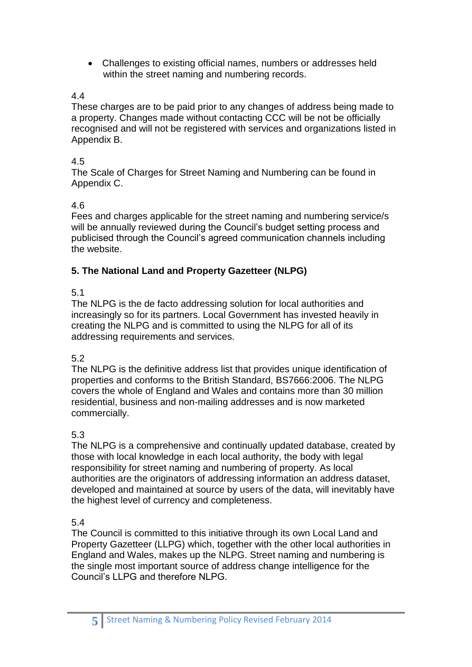Challenges to existing official names, numbers or addresses held within the street naming and numbering records.

## 4.4

These charges are to be paid prior to any changes of address being made to a property. Changes made without contacting CCC will be not be officially recognised and will not be registered with services and organizations listed in Appendix B.

#### 4.5

The Scale of Charges for Street Naming and Numbering can be found in Appendix C.

#### 4.6

Fees and charges applicable for the street naming and numbering service/s will be annually reviewed during the Council's budget setting process and publicised through the Council's agreed communication channels including the website.

## **5. The National Land and Property Gazetteer (NLPG)**

## 5.1

The NLPG is the de facto addressing solution for local authorities and increasingly so for its partners. Local Government has invested heavily in creating the NLPG and is committed to using the NLPG for all of its addressing requirements and services.

## 5.2

The NLPG is the definitive address list that provides unique identification of properties and conforms to the British Standard, BS7666:2006. The NLPG covers the whole of England and Wales and contains more than 30 million residential, business and non-mailing addresses and is now marketed commercially.

## 5.3

The NLPG is a comprehensive and continually updated database, created by those with local knowledge in each local authority, the body with legal responsibility for street naming and numbering of property. As local authorities are the originators of addressing information an address dataset, developed and maintained at source by users of the data, will inevitably have the highest level of currency and completeness.

5.4

The Council is committed to this initiative through its own Local Land and Property Gazetteer (LLPG) which, together with the other local authorities in England and Wales, makes up the NLPG. Street naming and numbering is the single most important source of address change intelligence for the Council's LLPG and therefore NLPG.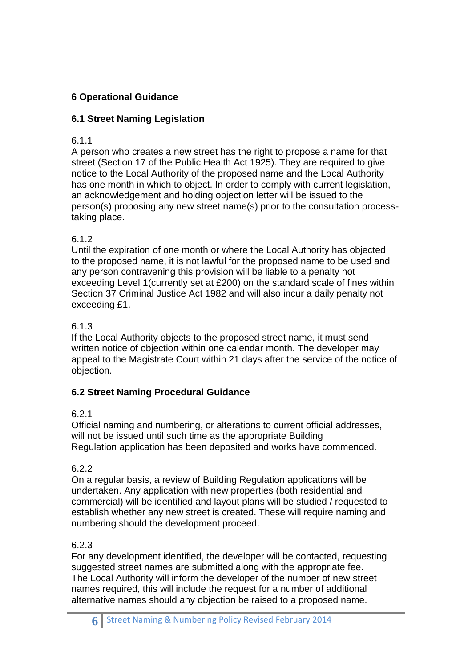# **6 Operational Guidance**

## **6.1 Street Naming Legislation**

## 6.1.1

A person who creates a new street has the right to propose a name for that street (Section 17 of the Public Health Act 1925). They are required to give notice to the Local Authority of the proposed name and the Local Authority has one month in which to object. In order to comply with current legislation, an acknowledgement and holding objection letter will be issued to the person(s) proposing any new street name(s) prior to the consultation processtaking place.

## 6.1.2

Until the expiration of one month or where the Local Authority has objected to the proposed name, it is not lawful for the proposed name to be used and any person contravening this provision will be liable to a penalty not exceeding Level 1(currently set at £200) on the standard scale of fines within Section 37 Criminal Justice Act 1982 and will also incur a daily penalty not exceeding £1.

## 6.1.3

If the Local Authority objects to the proposed street name, it must send written notice of objection within one calendar month. The developer may appeal to the Magistrate Court within 21 days after the service of the notice of objection.

## **6.2 Street Naming Procedural Guidance**

## 6.2.1

Official naming and numbering, or alterations to current official addresses, will not be issued until such time as the appropriate Building Regulation application has been deposited and works have commenced.

## 6.2.2

On a regular basis, a review of Building Regulation applications will be undertaken. Any application with new properties (both residential and commercial) will be identified and layout plans will be studied / requested to establish whether any new street is created. These will require naming and numbering should the development proceed.

## 6.2.3

For any development identified, the developer will be contacted, requesting suggested street names are submitted along with the appropriate fee. The Local Authority will inform the developer of the number of new street names required, this will include the request for a number of additional alternative names should any objection be raised to a proposed name.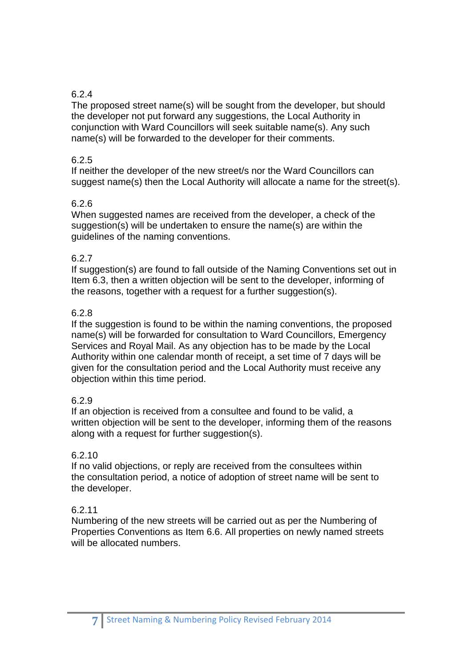## 6.2.4

The proposed street name(s) will be sought from the developer, but should the developer not put forward any suggestions, the Local Authority in conjunction with Ward Councillors will seek suitable name(s). Any such name(s) will be forwarded to the developer for their comments.

#### 6.2.5

If neither the developer of the new street/s nor the Ward Councillors can suggest name(s) then the Local Authority will allocate a name for the street(s).

#### 6.2.6

When suggested names are received from the developer, a check of the suggestion(s) will be undertaken to ensure the name(s) are within the guidelines of the naming conventions.

#### 6.2.7

If suggestion(s) are found to fall outside of the Naming Conventions set out in Item 6.3, then a written objection will be sent to the developer, informing of the reasons, together with a request for a further suggestion(s).

#### 6.2.8

If the suggestion is found to be within the naming conventions, the proposed name(s) will be forwarded for consultation to Ward Councillors, Emergency Services and Royal Mail. As any objection has to be made by the Local Authority within one calendar month of receipt, a set time of 7 days will be given for the consultation period and the Local Authority must receive any objection within this time period.

#### 6.2.9

If an objection is received from a consultee and found to be valid, a written objection will be sent to the developer, informing them of the reasons along with a request for further suggestion(s).

#### 6.2.10

If no valid objections, or reply are received from the consultees within the consultation period, a notice of adoption of street name will be sent to the developer.

#### 6.2.11

Numbering of the new streets will be carried out as per the Numbering of Properties Conventions as Item 6.6. All properties on newly named streets will be allocated numbers.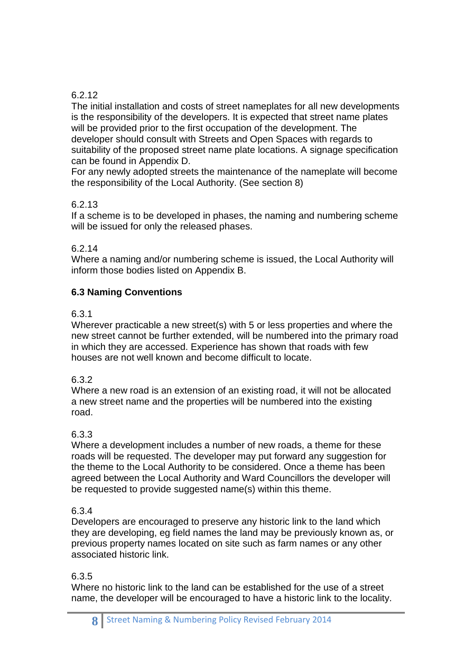## 6.2.12

The initial installation and costs of street nameplates for all new developments is the responsibility of the developers. It is expected that street name plates will be provided prior to the first occupation of the development. The developer should consult with Streets and Open Spaces with regards to suitability of the proposed street name plate locations. A signage specification can be found in Appendix D.

For any newly adopted streets the maintenance of the nameplate will become the responsibility of the Local Authority. (See section 8)

#### 6.2.13

If a scheme is to be developed in phases, the naming and numbering scheme will be issued for only the released phases.

#### 6.2.14

Where a naming and/or numbering scheme is issued, the Local Authority will inform those bodies listed on Appendix B.

## **6.3 Naming Conventions**

#### 6.3.1

Wherever practicable a new street(s) with 5 or less properties and where the new street cannot be further extended, will be numbered into the primary road in which they are accessed. Experience has shown that roads with few houses are not well known and become difficult to locate.

#### 6.3.2

Where a new road is an extension of an existing road, it will not be allocated a new street name and the properties will be numbered into the existing road.

#### 6.3.3

Where a development includes a number of new roads, a theme for these roads will be requested. The developer may put forward any suggestion for the theme to the Local Authority to be considered. Once a theme has been agreed between the Local Authority and Ward Councillors the developer will be requested to provide suggested name(s) within this theme.

#### 6.3.4

Developers are encouraged to preserve any historic link to the land which they are developing, eg field names the land may be previously known as, or previous property names located on site such as farm names or any other associated historic link.

#### 6.3.5

Where no historic link to the land can be established for the use of a street name, the developer will be encouraged to have a historic link to the locality.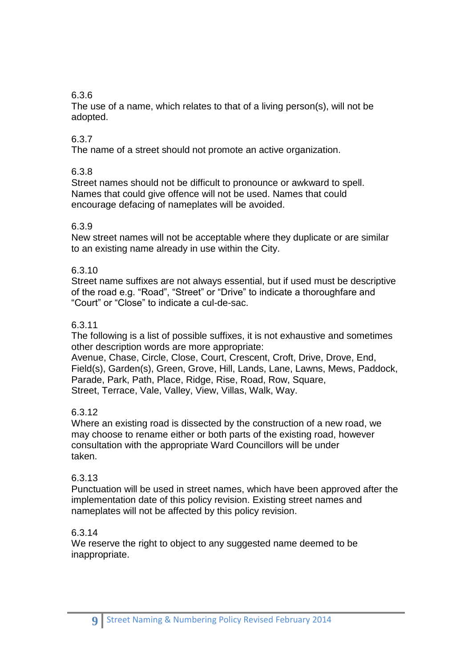## 6.3.6

The use of a name, which relates to that of a living person(s), will not be adopted.

## 6.3.7

The name of a street should not promote an active organization.

## 6.3.8

Street names should not be difficult to pronounce or awkward to spell. Names that could give offence will not be used. Names that could encourage defacing of nameplates will be avoided.

#### 6.3.9

New street names will not be acceptable where they duplicate or are similar to an existing name already in use within the City.

#### 6.3.10

Street name suffixes are not always essential, but if used must be descriptive of the road e.g. "Road", "Street" or "Drive" to indicate a thoroughfare and "Court" or "Close" to indicate a cul-de-sac.

#### 6.3.11

The following is a list of possible suffixes, it is not exhaustive and sometimes other description words are more appropriate:

Avenue, Chase, Circle, Close, Court, Crescent, Croft, Drive, Drove, End, Field(s), Garden(s), Green, Grove, Hill, Lands, Lane, Lawns, Mews, Paddock, Parade, Park, Path, Place, Ridge, Rise, Road, Row, Square, Street, Terrace, Vale, Valley, View, Villas, Walk, Way.

#### 6.3.12

Where an existing road is dissected by the construction of a new road, we may choose to rename either or both parts of the existing road, however consultation with the appropriate Ward Councillors will be under taken.

#### 6.3.13

Punctuation will be used in street names, which have been approved after the implementation date of this policy revision. Existing street names and nameplates will not be affected by this policy revision.

## 6.3.14

We reserve the right to object to any suggested name deemed to be inappropriate.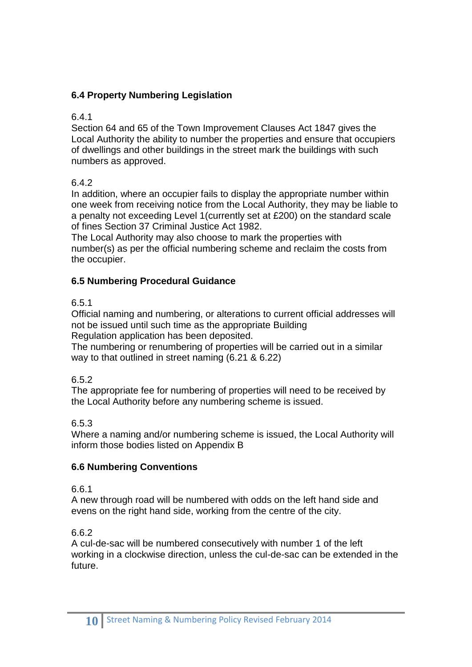# **6.4 Property Numbering Legislation**

#### 6.4.1

Section 64 and 65 of the Town Improvement Clauses Act 1847 gives the Local Authority the ability to number the properties and ensure that occupiers of dwellings and other buildings in the street mark the buildings with such numbers as approved.

## 6.4.2

In addition, where an occupier fails to display the appropriate number within one week from receiving notice from the Local Authority, they may be liable to a penalty not exceeding Level 1(currently set at £200) on the standard scale of fines Section 37 Criminal Justice Act 1982.

The Local Authority may also choose to mark the properties with number(s) as per the official numbering scheme and reclaim the costs from the occupier.

## **6.5 Numbering Procedural Guidance**

## 6.5.1

Official naming and numbering, or alterations to current official addresses will not be issued until such time as the appropriate Building Regulation application has been deposited.

The numbering or renumbering of properties will be carried out in a similar way to that outlined in street naming (6.21 & 6.22)

#### 6.5.2

The appropriate fee for numbering of properties will need to be received by the Local Authority before any numbering scheme is issued.

#### 6.5.3

Where a naming and/or numbering scheme is issued, the Local Authority will inform those bodies listed on Appendix B

#### **6.6 Numbering Conventions**

#### 6.6.1

A new through road will be numbered with odds on the left hand side and evens on the right hand side, working from the centre of the city.

## 6.6.2

A cul-de-sac will be numbered consecutively with number 1 of the left working in a clockwise direction, unless the cul-de-sac can be extended in the future.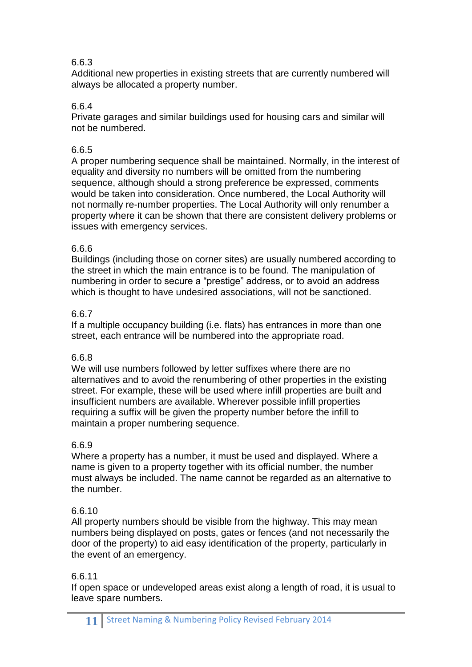## 6.6.3

Additional new properties in existing streets that are currently numbered will always be allocated a property number.

## 6.6.4

Private garages and similar buildings used for housing cars and similar will not be numbered.

## 6.6.5

A proper numbering sequence shall be maintained. Normally, in the interest of equality and diversity no numbers will be omitted from the numbering sequence, although should a strong preference be expressed, comments would be taken into consideration. Once numbered, the Local Authority will not normally re-number properties. The Local Authority will only renumber a property where it can be shown that there are consistent delivery problems or issues with emergency services.

## 6.6.6

Buildings (including those on corner sites) are usually numbered according to the street in which the main entrance is to be found. The manipulation of numbering in order to secure a "prestige" address, or to avoid an address which is thought to have undesired associations, will not be sanctioned.

## 6.6.7

If a multiple occupancy building (i.e. flats) has entrances in more than one street, each entrance will be numbered into the appropriate road.

## 6.6.8

We will use numbers followed by letter suffixes where there are no alternatives and to avoid the renumbering of other properties in the existing street. For example, these will be used where infill properties are built and insufficient numbers are available. Wherever possible infill properties requiring a suffix will be given the property number before the infill to maintain a proper numbering sequence.

#### 6.6.9

Where a property has a number, it must be used and displayed. Where a name is given to a property together with its official number, the number must always be included. The name cannot be regarded as an alternative to the number.

## 6.6.10

All property numbers should be visible from the highway. This may mean numbers being displayed on posts, gates or fences (and not necessarily the door of the property) to aid easy identification of the property, particularly in the event of an emergency.

#### 6.6.11

If open space or undeveloped areas exist along a length of road, it is usual to leave spare numbers.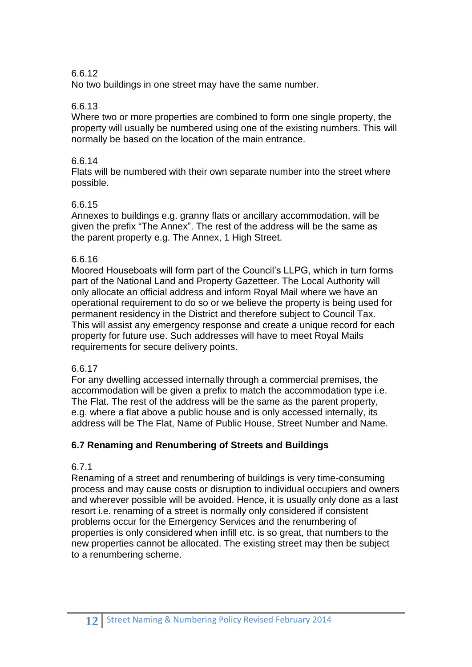#### 6.6.12

No two buildings in one street may have the same number.

#### 6.6.13

Where two or more properties are combined to form one single property, the property will usually be numbered using one of the existing numbers. This will normally be based on the location of the main entrance.

## 6.6.14

Flats will be numbered with their own separate number into the street where possible.

#### 6.6.15

Annexes to buildings e.g. granny flats or ancillary accommodation, will be given the prefix "The Annex". The rest of the address will be the same as the parent property e.g. The Annex, 1 High Street.

#### 6.6.16

Moored Houseboats will form part of the Council's LLPG, which in turn forms part of the National Land and Property Gazetteer. The Local Authority will only allocate an official address and inform Royal Mail where we have an operational requirement to do so or we believe the property is being used for permanent residency in the District and therefore subject to Council Tax. This will assist any emergency response and create a unique record for each property for future use. Such addresses will have to meet Royal Mails requirements for secure delivery points.

## 6.6.17

For any dwelling accessed internally through a commercial premises, the accommodation will be given a prefix to match the accommodation type i.e. The Flat. The rest of the address will be the same as the parent property, e.g. where a flat above a public house and is only accessed internally, its address will be The Flat, Name of Public House, Street Number and Name.

## **6.7 Renaming and Renumbering of Streets and Buildings**

## 6.7.1

Renaming of a street and renumbering of buildings is very time-consuming process and may cause costs or disruption to individual occupiers and owners and wherever possible will be avoided. Hence, it is usually only done as a last resort i.e. renaming of a street is normally only considered if consistent problems occur for the Emergency Services and the renumbering of properties is only considered when infill etc. is so great, that numbers to the new properties cannot be allocated. The existing street may then be subject to a renumbering scheme.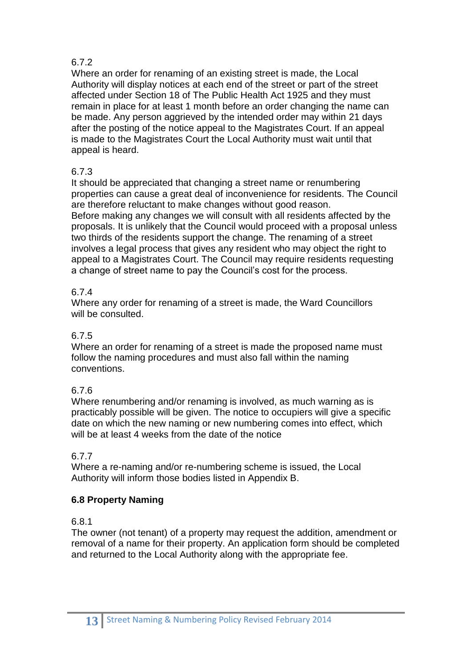## 6.7.2

Where an order for renaming of an existing street is made, the Local Authority will display notices at each end of the street or part of the street affected under Section 18 of The Public Health Act 1925 and they must remain in place for at least 1 month before an order changing the name can be made. Any person aggrieved by the intended order may within 21 days after the posting of the notice appeal to the Magistrates Court. If an appeal is made to the Magistrates Court the Local Authority must wait until that appeal is heard.

# 6.7.3

It should be appreciated that changing a street name or renumbering properties can cause a great deal of inconvenience for residents. The Council are therefore reluctant to make changes without good reason. Before making any changes we will consult with all residents affected by the proposals. It is unlikely that the Council would proceed with a proposal unless two thirds of the residents support the change. The renaming of a street involves a legal process that gives any resident who may object the right to appeal to a Magistrates Court. The Council may require residents requesting a change of street name to pay the Council's cost for the process.

## 6.7.4

Where any order for renaming of a street is made, the Ward Councillors will be consulted.

## 6.7.5

Where an order for renaming of a street is made the proposed name must follow the naming procedures and must also fall within the naming conventions.

## 6.7.6

Where renumbering and/or renaming is involved, as much warning as is practicably possible will be given. The notice to occupiers will give a specific date on which the new naming or new numbering comes into effect, which will be at least 4 weeks from the date of the notice

## 6.7.7

Where a re-naming and/or re-numbering scheme is issued, the Local Authority will inform those bodies listed in Appendix B.

## **6.8 Property Naming**

## 6.8.1

The owner (not tenant) of a property may request the addition, amendment or removal of a name for their property. An application form should be completed and returned to the Local Authority along with the appropriate fee.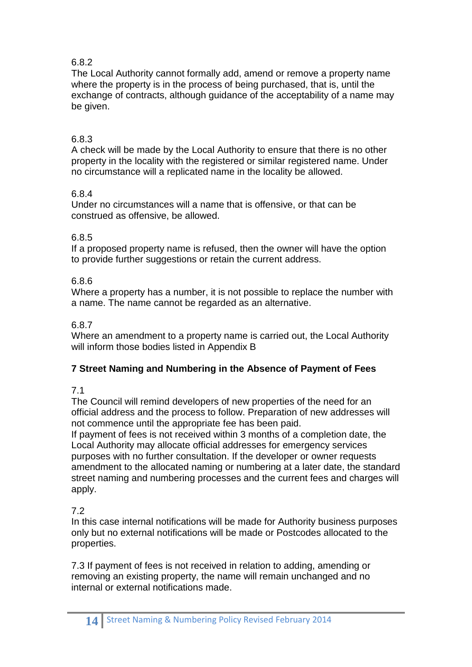## 6.8.2

The Local Authority cannot formally add, amend or remove a property name where the property is in the process of being purchased, that is, until the exchange of contracts, although guidance of the acceptability of a name may be given.

## 6.8.3

A check will be made by the Local Authority to ensure that there is no other property in the locality with the registered or similar registered name. Under no circumstance will a replicated name in the locality be allowed.

## 6.8.4

Under no circumstances will a name that is offensive, or that can be construed as offensive, be allowed.

## 6.8.5

If a proposed property name is refused, then the owner will have the option to provide further suggestions or retain the current address.

## 6.8.6

Where a property has a number, it is not possible to replace the number with a name. The name cannot be regarded as an alternative.

#### 6.8.7

Where an amendment to a property name is carried out, the Local Authority will inform those bodies listed in Appendix B

## **7 Street Naming and Numbering in the Absence of Payment of Fees**

## 7.1

The Council will remind developers of new properties of the need for an official address and the process to follow. Preparation of new addresses will not commence until the appropriate fee has been paid.

If payment of fees is not received within 3 months of a completion date, the Local Authority may allocate official addresses for emergency services purposes with no further consultation. If the developer or owner requests amendment to the allocated naming or numbering at a later date, the standard street naming and numbering processes and the current fees and charges will apply.

## 7.2

In this case internal notifications will be made for Authority business purposes only but no external notifications will be made or Postcodes allocated to the properties.

7.3 If payment of fees is not received in relation to adding, amending or removing an existing property, the name will remain unchanged and no internal or external notifications made.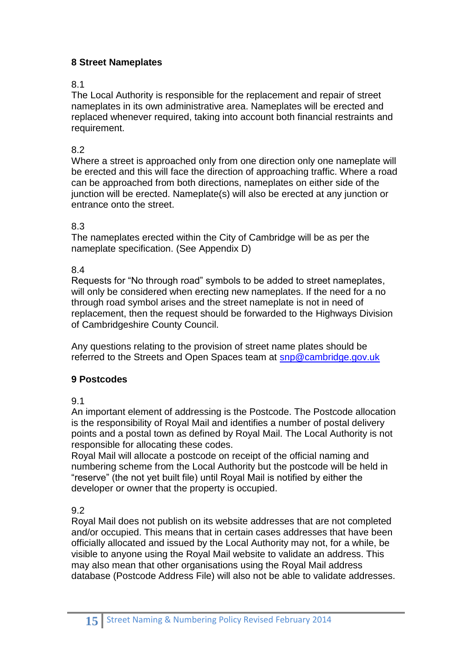## **8 Street Nameplates**

## 8.1

The Local Authority is responsible for the replacement and repair of street nameplates in its own administrative area. Nameplates will be erected and replaced whenever required, taking into account both financial restraints and requirement.

## 8.2

Where a street is approached only from one direction only one nameplate will be erected and this will face the direction of approaching traffic. Where a road can be approached from both directions, nameplates on either side of the junction will be erected. Nameplate(s) will also be erected at any junction or entrance onto the street.

#### 8.3

The nameplates erected within the City of Cambridge will be as per the nameplate specification. (See Appendix D)

#### 8.4

Requests for "No through road" symbols to be added to street nameplates, will only be considered when erecting new nameplates. If the need for a no through road symbol arises and the street nameplate is not in need of replacement, then the request should be forwarded to the Highways Division of Cambridgeshire County Council.

Any questions relating to the provision of street name plates should be referred to the Streets and Open Spaces team at [snp@cambridge.gov.uk](mailto:snp@cambridge.gov.uk)

## **9 Postcodes**

9.1

An important element of addressing is the Postcode. The Postcode allocation is the responsibility of Royal Mail and identifies a number of postal delivery points and a postal town as defined by Royal Mail. The Local Authority is not responsible for allocating these codes.

Royal Mail will allocate a postcode on receipt of the official naming and numbering scheme from the Local Authority but the postcode will be held in "reserve" (the not yet built file) until Royal Mail is notified by either the developer or owner that the property is occupied.

9.2

Royal Mail does not publish on its website addresses that are not completed and/or occupied. This means that in certain cases addresses that have been officially allocated and issued by the Local Authority may not, for a while, be visible to anyone using the Royal Mail website to validate an address. This may also mean that other organisations using the Royal Mail address database (Postcode Address File) will also not be able to validate addresses.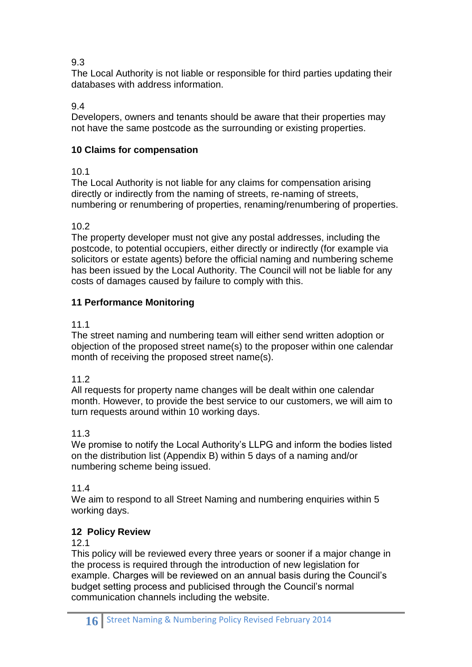## 9.3

The Local Authority is not liable or responsible for third parties updating their databases with address information.

# 9.4

Developers, owners and tenants should be aware that their properties may not have the same postcode as the surrounding or existing properties.

# **10 Claims for compensation**

## 10.1

The Local Authority is not liable for any claims for compensation arising directly or indirectly from the naming of streets, re-naming of streets, numbering or renumbering of properties, renaming/renumbering of properties.

## 10.2

The property developer must not give any postal addresses, including the postcode, to potential occupiers, either directly or indirectly (for example via solicitors or estate agents) before the official naming and numbering scheme has been issued by the Local Authority. The Council will not be liable for any costs of damages caused by failure to comply with this.

## **11 Performance Monitoring**

## 11.1

The street naming and numbering team will either send written adoption or objection of the proposed street name(s) to the proposer within one calendar month of receiving the proposed street name(s).

## 11.2

All requests for property name changes will be dealt within one calendar month. However, to provide the best service to our customers, we will aim to turn requests around within 10 working days.

## 11.3

We promise to notify the Local Authority's LLPG and inform the bodies listed on the distribution list (Appendix B) within 5 days of a naming and/or numbering scheme being issued.

## 11.4

We aim to respond to all Street Naming and numbering enquiries within 5 working days.

# **12 Policy Review**

## 12.1

This policy will be reviewed every three years or sooner if a major change in the process is required through the introduction of new legislation for example. Charges will be reviewed on an annual basis during the Council's budget setting process and publicised through the Council's normal communication channels including the website.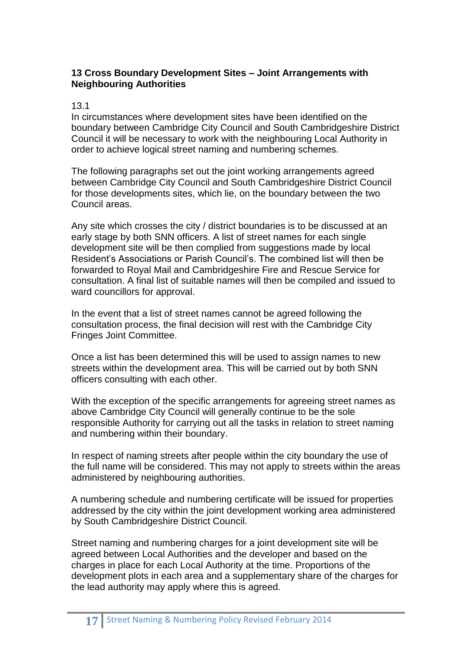#### **13 Cross Boundary Development Sites – Joint Arrangements with Neighbouring Authorities**

#### 13.1

In circumstances where development sites have been identified on the boundary between Cambridge City Council and South Cambridgeshire District Council it will be necessary to work with the neighbouring Local Authority in order to achieve logical street naming and numbering schemes.

The following paragraphs set out the joint working arrangements agreed between Cambridge City Council and South Cambridgeshire District Council for those developments sites, which lie, on the boundary between the two Council areas.

Any site which crosses the city / district boundaries is to be discussed at an early stage by both SNN officers. A list of street names for each single development site will be then complied from suggestions made by local Resident's Associations or Parish Council's. The combined list will then be forwarded to Royal Mail and Cambridgeshire Fire and Rescue Service for consultation. A final list of suitable names will then be compiled and issued to ward councillors for approval.

In the event that a list of street names cannot be agreed following the consultation process, the final decision will rest with the Cambridge City Fringes Joint Committee.

Once a list has been determined this will be used to assign names to new streets within the development area. This will be carried out by both SNN officers consulting with each other.

With the exception of the specific arrangements for agreeing street names as above Cambridge City Council will generally continue to be the sole responsible Authority for carrying out all the tasks in relation to street naming and numbering within their boundary.

In respect of naming streets after people within the city boundary the use of the full name will be considered. This may not apply to streets within the areas administered by neighbouring authorities.

A numbering schedule and numbering certificate will be issued for properties addressed by the city within the joint development working area administered by South Cambridgeshire District Council.

Street naming and numbering charges for a joint development site will be agreed between Local Authorities and the developer and based on the charges in place for each Local Authority at the time. Proportions of the development plots in each area and a supplementary share of the charges for the lead authority may apply where this is agreed.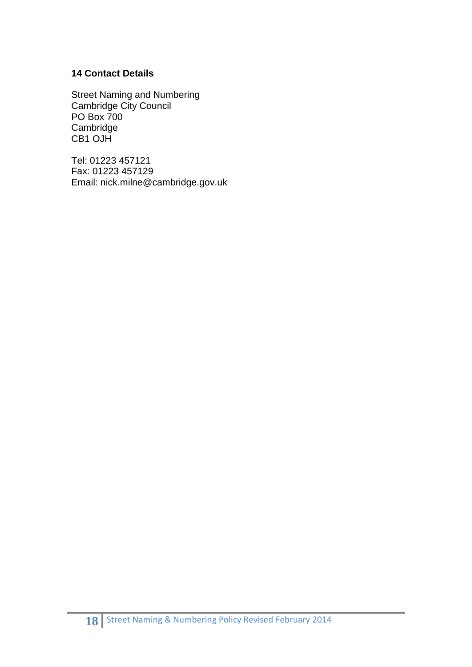#### **14 Contact Details**

Street Naming and Numbering Cambridge City Council PO Box 700 Cambridge CB1 OJH

Tel: 01223 457121 Fax: 01223 457129 Email: nick.milne@cambridge.gov.uk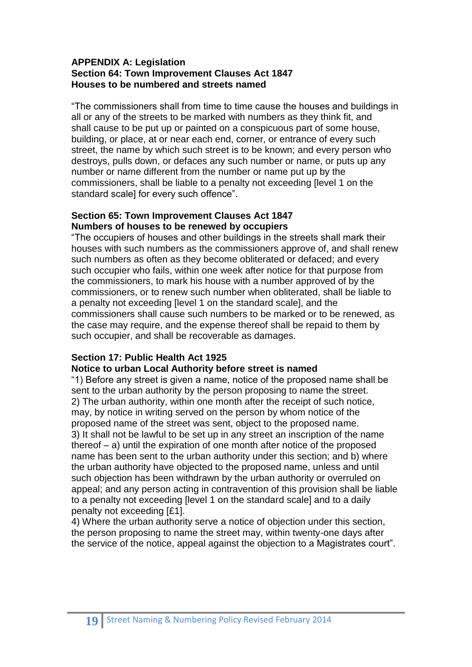#### **APPENDIX A: Legislation Section 64: Town Improvement Clauses Act 1847 Houses to be numbered and streets named**

"The commissioners shall from time to time cause the houses and buildings in all or any of the streets to be marked with numbers as they think fit, and shall cause to be put up or painted on a conspicuous part of some house, building, or place, at or near each end, corner, or entrance of every such street, the name by which such street is to be known; and every person who destroys, pulls down, or defaces any such number or name, or puts up any number or name different from the number or name put up by the commissioners, shall be liable to a penalty not exceeding [level 1 on the standard scale] for every such offence".

#### **Section 65: Town Improvement Clauses Act 1847 Numbers of houses to be renewed by occupiers**

"The occupiers of houses and other buildings in the streets shall mark their houses with such numbers as the commissioners approve of, and shall renew such numbers as often as they become obliterated or defaced; and every such occupier who fails, within one week after notice for that purpose from the commissioners, to mark his house with a number approved of by the commissioners, or to renew such number when obliterated, shall be liable to a penalty not exceeding [level 1 on the standard scale], and the commissioners shall cause such numbers to be marked or to be renewed, as the case may require, and the expense thereof shall be repaid to them by such occupier, and shall be recoverable as damages.

## **Section 17: Public Health Act 1925**

#### **Notice to urban Local Authority before street is named**

"1) Before any street is given a name, notice of the proposed name shall be sent to the urban authority by the person proposing to name the street. 2) The urban authority, within one month after the receipt of such notice, may, by notice in writing served on the person by whom notice of the proposed name of the street was sent, object to the proposed name. 3) It shall not be lawful to be set up in any street an inscription of the name thereof – a) until the expiration of one month after notice of the proposed name has been sent to the urban authority under this section; and b) where the urban authority have objected to the proposed name, unless and until such objection has been withdrawn by the urban authority or overruled on appeal; and any person acting in contravention of this provision shall be liable to a penalty not exceeding [level 1 on the standard scale] and to a daily penalty not exceeding [£1].

4) Where the urban authority serve a notice of objection under this section, the person proposing to name the street may, within twenty-one days after the service of the notice, appeal against the objection to a Magistrates court".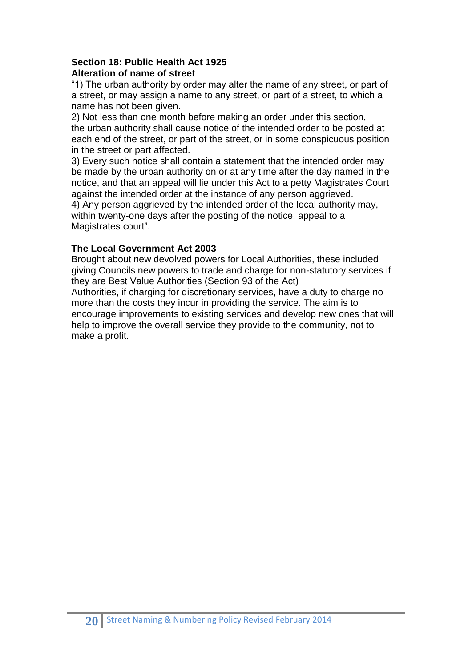#### **Section 18: Public Health Act 1925 Alteration of name of street**

"1) The urban authority by order may alter the name of any street, or part of a street, or may assign a name to any street, or part of a street, to which a name has not been given.

2) Not less than one month before making an order under this section, the urban authority shall cause notice of the intended order to be posted at each end of the street, or part of the street, or in some conspicuous position in the street or part affected.

3) Every such notice shall contain a statement that the intended order may be made by the urban authority on or at any time after the day named in the notice, and that an appeal will lie under this Act to a petty Magistrates Court against the intended order at the instance of any person aggrieved.

4) Any person aggrieved by the intended order of the local authority may, within twenty-one days after the posting of the notice, appeal to a Magistrates court".

## **The Local Government Act 2003**

Brought about new devolved powers for Local Authorities, these included giving Councils new powers to trade and charge for non-statutory services if they are Best Value Authorities (Section 93 of the Act) Authorities, if charging for discretionary services, have a duty to charge no more than the costs they incur in providing the service. The aim is to encourage improvements to existing services and develop new ones that will help to improve the overall service they provide to the community, not to make a profit.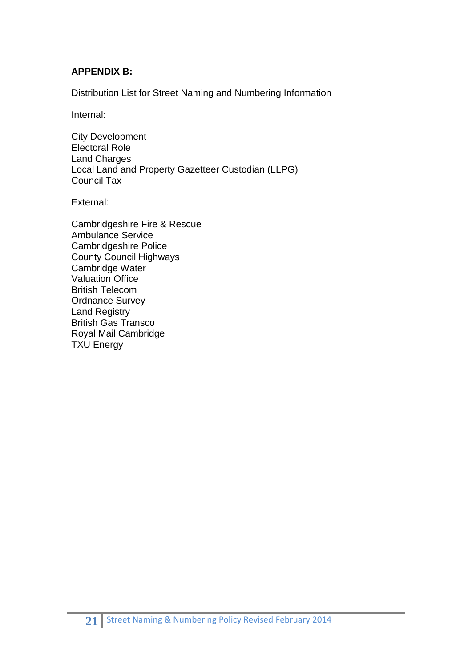## **APPENDIX B:**

Distribution List for Street Naming and Numbering Information

Internal:

City Development Electoral Role Land Charges Local Land and Property Gazetteer Custodian (LLPG) Council Tax

External:

Cambridgeshire Fire & Rescue Ambulance Service Cambridgeshire Police County Council Highways Cambridge Water Valuation Office British Telecom Ordnance Survey Land Registry British Gas Transco Royal Mail Cambridge TXU Energy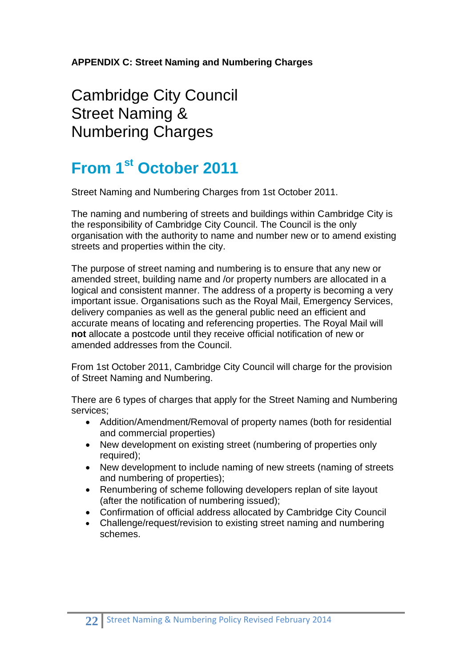**APPENDIX C: Street Naming and Numbering Charges**

Cambridge City Council Street Naming & Numbering Charges

# **From 1st October 2011**

Street Naming and Numbering Charges from 1st October 2011.

The naming and numbering of streets and buildings within Cambridge City is the responsibility of Cambridge City Council. The Council is the only organisation with the authority to name and number new or to amend existing streets and properties within the city.

The purpose of street naming and numbering is to ensure that any new or amended street, building name and /or property numbers are allocated in a logical and consistent manner. The address of a property is becoming a very important issue. Organisations such as the Royal Mail, Emergency Services, delivery companies as well as the general public need an efficient and accurate means of locating and referencing properties. The Royal Mail will **not** allocate a postcode until they receive official notification of new or amended addresses from the Council.

From 1st October 2011, Cambridge City Council will charge for the provision of Street Naming and Numbering.

There are 6 types of charges that apply for the Street Naming and Numbering services;

- Addition/Amendment/Removal of property names (both for residential and commercial properties)
- New development on existing street (numbering of properties only required):
- New development to include naming of new streets (naming of streets and numbering of properties);
- Renumbering of scheme following developers replan of site layout (after the notification of numbering issued);
- Confirmation of official address allocated by Cambridge City Council
- Challenge/request/revision to existing street naming and numbering schemes.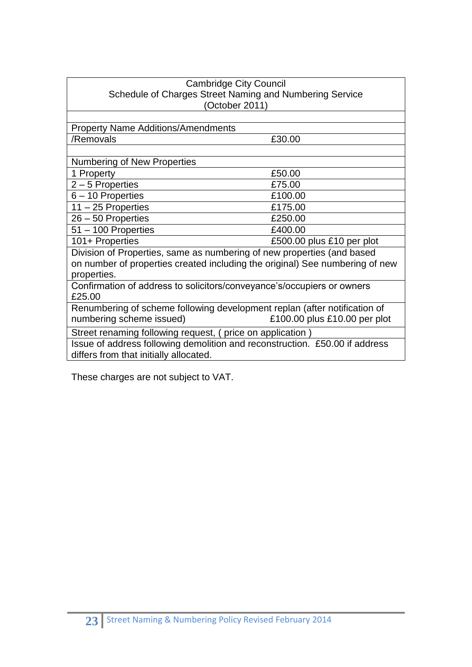| <b>Cambridge City Council</b>                                                |                              |  |
|------------------------------------------------------------------------------|------------------------------|--|
| Schedule of Charges Street Naming and Numbering Service                      |                              |  |
| (October 2011)                                                               |                              |  |
|                                                                              |                              |  |
| <b>Property Name Additions/Amendments</b>                                    |                              |  |
| /Removals                                                                    | £30.00                       |  |
|                                                                              |                              |  |
| <b>Numbering of New Properties</b>                                           |                              |  |
| 1 Property                                                                   | £50.00                       |  |
| $2 - 5$ Properties                                                           | £75.00                       |  |
| 6 - 10 Properties                                                            | £100.00                      |  |
| $11 - 25$ Properties                                                         | £175.00                      |  |
| 26 - 50 Properties                                                           | £250.00                      |  |
| $51 - 100$ Properties                                                        | £400.00                      |  |
| 101+ Properties                                                              | £500.00 plus £10 per plot    |  |
| Division of Properties, same as numbering of new properties (and based       |                              |  |
| on number of properties created including the original) See numbering of new |                              |  |
| properties.                                                                  |                              |  |
| Confirmation of address to solicitors/conveyance's/occupiers or owners       |                              |  |
| £25.00                                                                       |                              |  |
| Renumbering of scheme following development replan (after notification of    |                              |  |
| numbering scheme issued)                                                     | £100.00 plus £10.00 per plot |  |
| Street renaming following request, (price on application)                    |                              |  |
| Issue of address following demolition and reconstruction. £50.00 if address  |                              |  |
| differs from that initially allocated.                                       |                              |  |

These charges are not subject to VAT.